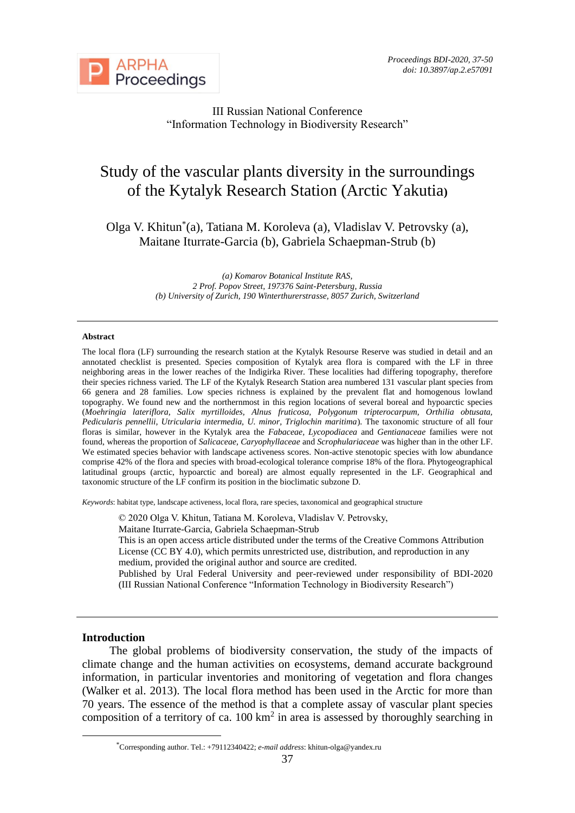

III Russian National Conference "Information Technology in Biodiversity Research"

# Study of the vascular plants diversity in the surroundings of the Kytalyk Research Station (Arctic Yakutia**)**

Olga V. Khitun\* (a), Tatiana M. Koroleva (a), Vladislav V. Petrovsky (a), Maitane Iturrate-Garcia (b), Gabriela Schaepman-Strub (b)

> *(a) Komarov Botanical Institute RAS, 2 Prof. Popov Street, 197376 Saint-Petersburg, Russia (b) University of Zurich, 190 Winterthurerstrasse, 8057 Zurich, Switzerland*

#### **Abstract**

The local flora (LF) surrounding the research station at the Kytalyk Resourse Reserve was studied in detail and an annotated checklist is presented. Species composition of Kytalyk area flora is compared with the LF in three neighboring areas in the lower reaches of the Indigirka River. These localities had differing topography, therefore their species richness varied. The LF of the Kytalyk Research Station area numbered 131 vascular plant species from 66 genera and 28 families. Low species richness is explained by the prevalent flat and homogenous lowland topography. We found new and the northernmost in this region locations of several boreal and hypoarctic species (*Moehringia lateriflora, Salix myrtilloides, Alnus fruticosa, Polygonum tripterocarpum, Orthilia obtusata, Pedicularis pennellii, Utricularia intermedia, U. minor, Triglochin maritima*). The taxonomic structure of all four floras is similar, however in the Kytalyk area the *Fabaceae, Lycopodiacea* and *Gentianaceae* families were not found, whereas the proportion of *Salicaceae, Caryophyllaceae* and *Scrophulariaceae* was higher than in the other LF. We estimated species behavior with landscape activeness scores. Non-active stenotopic species with low abundance comprise 42% of the flora and species with broad-ecological tolerance comprise 18% of the flora. Phytogeographical latitudinal groups (arctic, hypoarctic and boreal) are almost equally represented in the LF. Geographical and taxonomic structure of the LF confirm its position in the bioclimatic subzone D.

*Keywords*: habitat type, landscape activeness, local flora, rare species, taxonomical and geographical structure

© 2020 Olga V. Khitun, Tatiana M. Koroleva, Vladislav V. Petrovsky,

Maitane Iturrate-Garcia, Gabriela Schaepman-Strub

This is an open access article distributed under the terms of the Creative Commons Attribution License (CC BY 4.0), which permits unrestricted use, distribution, and reproduction in any medium, provided the original author and source are credited.

Published by Ural Federal University and peer-reviewed under responsibility of BDI-2020 (III Russian National Conference "Information Technology in Biodiversity Research")

#### **Introduction**

The global problems of biodiversity conservation, the study of the impacts of climate change and the human activities on ecosystems, demand accurate background information, in particular inventories and monitoring of vegetation and flora changes (Walker et al. 2013). The local flora method has been used in the Arctic for more than 70 years. The essence of the method is that a complete assay of vascular plant species composition of a territory of ca.  $100 \text{ km}^2$  in area is assessed by thoroughly searching in

<sup>\*</sup>Corresponding author. Tel.: +79112340422; *e-mail address*: khitun-olga@yandex.ru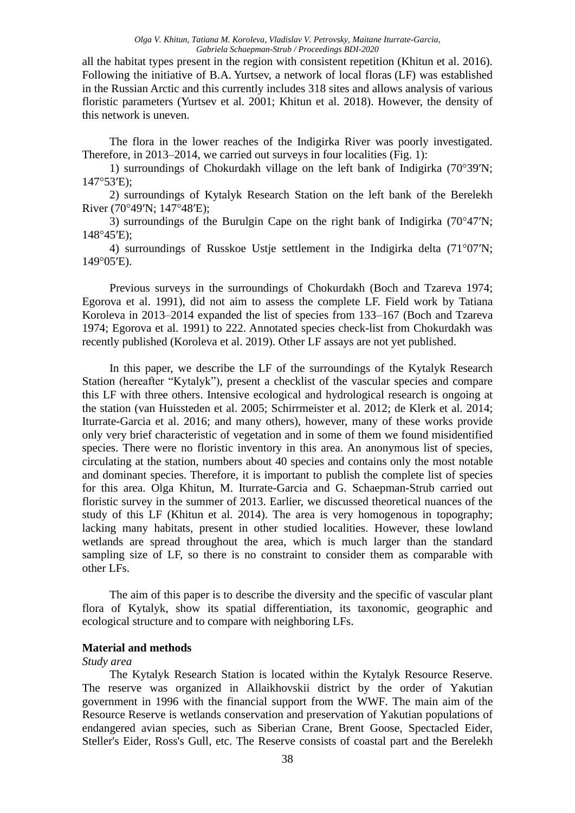all the habitat types present in the region with consistent repetition (Khitun et al. 2016). Following the initiative of B.A. Yurtsev, a network of local floras (LF) was established in the Russian Arctic and this currently includes 318 sites and allows analysis of various floristic parameters (Yurtsev et al. 2001; Khitun et al. 2018). However, the density of this network is uneven.

The flora in the lower reaches of the Indigirka River was poorly investigated. Therefore, in 2013–2014, we carried out surveys in four localities (Fig. 1):

1) surroundings of Chokurdakh village on the left bank of Indigirka (70°39′N; 147°53′E);

2) surroundings of Kytalyk Research Station on the left bank of the Berelekh River (70°49′N; 147°48′E);

3) surroundings of the Burulgin Cape on the right bank of Indigirka  $(70^{\circ}47'N;$ 148°45′E);

4) surroundings of Russkoe Ustje settlement in the Indigirka delta (71°07′N; 149°05′E).

Previous surveys in the surroundings of Chokurdakh (Boch and Tzareva 1974; Egorova et al. 1991), did not aim to assess the complete LF. Field work by Tatiana Koroleva in 2013–2014 expanded the list of species from 133–167 (Boch and Tzareva 1974; Egorova et al. 1991) to 222. Annotated species check-list from Chokurdakh was recently published (Koroleva et al. 2019). Other LF assays are not yet published.

In this paper, we describe the LF of the surroundings of the Kytalyk Research Station (hereafter "Kytalyk"), present a checklist of the vascular species and compare this LF with three others. Intensive ecological and hydrological research is ongoing at the station (van Huissteden et al. 2005; Schirrmeister et al. 2012; de Klerk et al. 2014; Iturrate-Garcia et al. 2016; and many others), however, many of these works provide only very brief characteristic of vegetation and in some of them we found misidentified species. There were no floristic inventory in this area. An anonymous list of species, circulating at the station, numbers about 40 species and contains only the most notable and dominant species. Therefore, it is important to publish the complete list of species for this area. Olga Khitun, M. Iturrate-Garcia and G. Schaepman-Strub carried out floristic survey in the summer of 2013. Earlier, we discussed theoretical nuances of the study of this LF (Khitun et al. 2014). The area is very homogenous in topography; lacking many habitats, present in other studied localities. However, these lowland wetlands are spread throughout the area, which is much larger than the standard sampling size of LF, so there is no constraint to consider them as comparable with other LFs.

The aim of this paper is to describe the diversity and the specific of vascular plant flora of Kytalyk, show its spatial differentiation, its taxonomic, geographic and ecological structure and to compare with neighboring LFs.

### **Material and methods**

#### *Study area*

The Kytalyk Research Station is located within the Kytalyk Resource Reserve. The reserve was organized in Allaikhovskii district by the order of Yakutian government in 1996 with the financial support from the WWF. The main aim of the Resource Reserve is wetlands conservation and preservation of Yakutian populations of endangered avian species, such as Siberian Crane, Brent Goose, Spectacled Eider, Steller's Eider, Ross's Gull, etc. The Reserve consists of coastal part and the Berelekh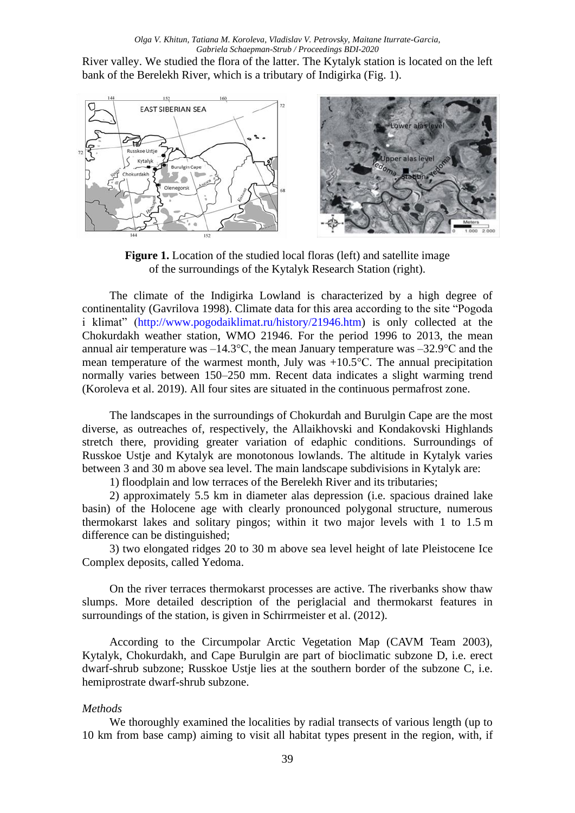River valley. We studied the flora of the latter. The Kytalyk station is located on the left bank of the Berelekh River, which is a tributary of Indigirka (Fig. 1).



**Figure 1.** Location of the studied local floras (left) and satellite image of the surroundings of the Kytalyk Research Station (right).

The climate of the Indigirka Lowland is characterized by a high degree of continentality (Gavrilova 1998). Climate data for this area according to the site "Pogoda i klimat" [\(http://www.pogodaiklimat.ru/history/21946.htm\)](http://www.pogodaiklimat.ru/history/21946.htm) is only collected at the Chokurdakh weather station, WMO 21946. For the period 1996 to 2013, the mean annual air temperature was –14.3°C, the mean January temperature was –32.9°C and the mean temperature of the warmest month, July was +10.5°C. The annual precipitation normally varies between 150–250 mm. Recent data indicates a slight warming trend (Koroleva et al. 2019). All four sites are situated in the continuous permafrost zone.

The landscapes in the surroundings of Chokurdah and Burulgin Cape are the most diverse, as outreaches of, respectively, the Allaikhovski and Kondakovski Highlands stretch there, providing greater variation of edaphic conditions. Surroundings of Russkoe Ustje and Kytalyk are monotonous lowlands. The altitude in Kytalyk varies between 3 and 30 m above sea level. The main landscape subdivisions in Kytalyk are:

1) floodplain and low terraces of the Berelekh River and its tributaries;

2) approximately 5.5 km in diameter alas depression (i.e. spacious drained lake basin) of the Holocene age with clearly pronounced polygonal structure, numerous thermokarst lakes and solitary pingos; within it two major levels with 1 to 1.5 m difference can be distinguished;

3) two elongated ridges 20 to 30 m above sea level height of late Pleistocene Ice Complex deposits, called Yedoma.

On the river terraces thermokarst processes are active. The riverbanks show thaw slumps. More detailed description of the periglacial and thermokarst features in surroundings of the station, is given in Schirrmeister et al. (2012).

According to the Circumpolar Arctic Vegetation Map (CAVM Team 2003), Kytalyk, Chokurdakh, and Cape Burulgin are part of bioclimatic subzone D, i.e. erect dwarf-shrub subzone; Russkoe Ustje lies at the southern border of the subzone C, i.e. hemiprostrate dwarf-shrub subzone.

### *Methods*

We thoroughly examined the localities by radial transects of various length (up to 10 km from base camp) aiming to visit all habitat types present in the region, with, if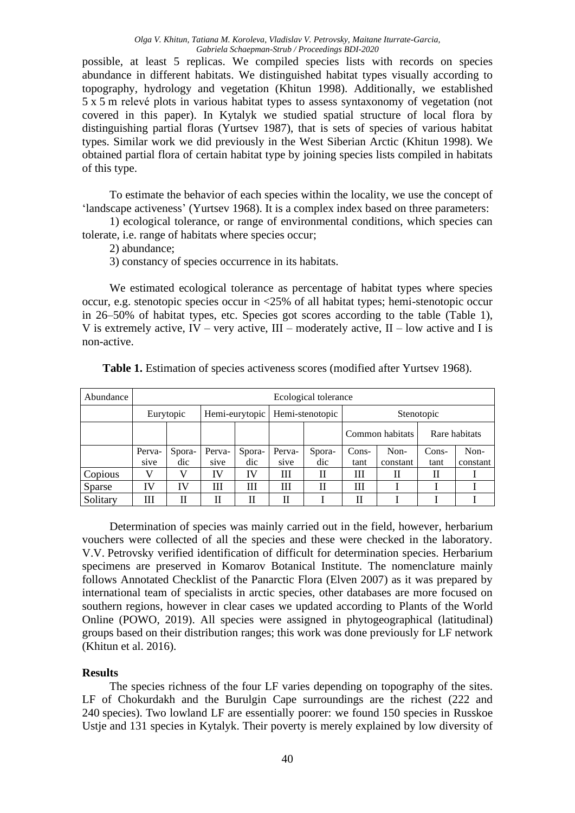possible, at least 5 replicas. We compiled species lists with records on species abundance in different habitats. We distinguished habitat types visually according to topography, hydrology and vegetation (Khitun 1998). Additionally, we established 5 x 5 m relevé plots in various habitat types to assess syntaxonomy of vegetation (not covered in this paper). In Kytalyk we studied spatial structure of local flora by distinguishing partial floras (Yurtsev 1987), that is sets of species of various habitat types. Similar work we did previously in the West Siberian Arctic (Khitun 1998). We obtained partial flora of certain habitat type by joining species lists compiled in habitats of this type.

To estimate the behavior of each species within the locality, we use the concept of 'landscape activeness' (Yurtsev 1968). It is a complex index based on three parameters:

1) ecological tolerance, or range of environmental conditions, which species can tolerate, i.e. range of habitats where species occur;

2) abundance;

3) constancy of species occurrence in its habitats.

We estimated ecological tolerance as percentage of habitat types where species occur, e.g. stenotopic species occur in <25% of all habitat types; hemi-stenotopic occur in 26–50% of habitat types, etc. Species got scores according to the table (Table 1), V is extremely active,  $IV -$  very active,  $III -$  moderately active,  $II -$  low active and I is non-active.

| Abundance | Ecological tolerance |        |                |        |                 |        |            |                 |       |               |
|-----------|----------------------|--------|----------------|--------|-----------------|--------|------------|-----------------|-------|---------------|
|           | Eurytopic            |        | Hemi-eurytopic |        | Hemi-stenotopic |        | Stenotopic |                 |       |               |
|           |                      |        |                |        |                 |        |            | Common habitats |       | Rare habitats |
|           | Perva-               | Spora- | Perva-         | Spora- | Perva-          | Spora- | Cons-      | Non-            | Cons- | Non-          |
|           | sive                 | dic    | sive           | dic    | sive            | dic    | tant       | constant        | tant  | constant      |
| Copious   |                      |        | IV             | IV     | Ш               | П      | Ш          | Н               | Н     |               |
| Sparse    | IV                   | IV     | Ш              | Ш      | Ш               | П      | Ш          |                 |       |               |
| Solitary  | Ш                    | П      |                |        |                 |        | П          |                 |       |               |

**Table 1.** Estimation of species activeness scores (modified after Yurtsev 1968).

Determination of species was mainly carried out in the field, however, herbarium vouchers were collected of all the species and these were checked in the laboratory. V.V. Petrovsky verified identification of difficult for determination species. Herbarium specimens are preserved in Komarov Botanical Institute. The nomenclature mainly follows Annotated Checklist of the Panarctic Flora (Elven 2007) as it was prepared by international team of specialists in arctic species, other databases are more focused on southern regions, however in clear cases we updated according to [Plants](http://www.theplantlist.org/) of the World Online (POWO, 2019). All species were assigned in phytogeographical (latitudinal) groups based on their distribution ranges; this work was done previously for LF network (Khitun et al. 2016).

## **Results**

The species richness of the four LF varies depending on topography of the sites. LF of Chokurdakh and the Burulgin Cape surroundings are the richest (222 and 240 species). Two lowland LF are essentially poorer: we found 150 species in Russkoe Ustje and 131 species in Kytalyk. Their poverty is merely explained by low diversity of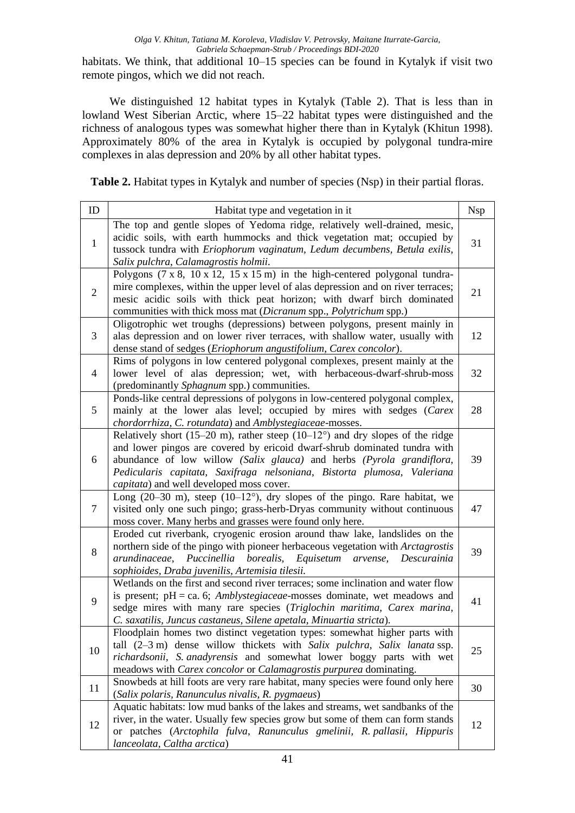habitats. We think, that additional 10–15 species can be found in Kytalyk if visit two remote pingos, which we did not reach.

We distinguished 12 habitat types in Kytalyk (Table 2). That is less than in lowland West Siberian Arctic, where 15–22 habitat types were distinguished and the richness of analogous types was somewhat higher there than in Kytalyk (Khitun 1998). Approximately 80% of the area in Kytalyk is occupied by polygonal tundra-mire complexes in alas depression and 20% by all other habitat types.

**Table 2.** Habitat types in Kytalyk and number of species (Nsp) in their partial floras.

| ID             | Habitat type and vegetation in it                                                                                                                                                                                                                                                                                                                                     | <b>Nsp</b> |
|----------------|-----------------------------------------------------------------------------------------------------------------------------------------------------------------------------------------------------------------------------------------------------------------------------------------------------------------------------------------------------------------------|------------|
| $\mathbf{1}$   | The top and gentle slopes of Yedoma ridge, relatively well-drained, mesic,<br>acidic soils, with earth hummocks and thick vegetation mat; occupied by<br>tussock tundra with Eriophorum vaginatum, Ledum decumbens, Betula exilis,<br>Salix pulchra, Calamagrostis holmii.                                                                                            | 31         |
| $\sqrt{2}$     | Polygons $(7 \times 8, 10 \times 12, 15 \times 15 \text{ m})$ in the high-centered polygonal tundra-<br>mire complexes, within the upper level of alas depression and on river terraces;<br>mesic acidic soils with thick peat horizon; with dwarf birch dominated<br>communities with thick moss mat (Dicranum spp., Polytrichum spp.)                               | 21         |
| 3              | Oligotrophic wet troughs (depressions) between polygons, present mainly in<br>alas depression and on lower river terraces, with shallow water, usually with<br>dense stand of sedges (Eriophorum angustifolium, Carex concolor).                                                                                                                                      | 12         |
| $\overline{4}$ | Rims of polygons in low centered polygonal complexes, present mainly at the<br>lower level of alas depression; wet, with herbaceous-dwarf-shrub-moss<br>(predominantly Sphagnum spp.) communities.                                                                                                                                                                    | 32         |
| 5              | Ponds-like central depressions of polygons in low-centered polygonal complex,<br>mainly at the lower alas level; occupied by mires with sedges (Carex<br>chordorrhiza, C. rotundata) and Amblystegiaceae-mosses.                                                                                                                                                      | 28         |
| 6              | Relatively short (15–20 m), rather steep (10–12 $^{\circ}$ ) and dry slopes of the ridge<br>and lower pingos are covered by ericoid dwarf-shrub dominated tundra with<br>abundance of low willow (Salix glauca) and herbs (Pyrola grandiflora,<br>Pedicularis capitata, Saxifraga nelsoniana, Bistorta plumosa, Valeriana<br>capitata) and well developed moss cover. | 39         |
| 7              | Long $(20-30 \text{ m})$ , steep $(10-12^{\circ})$ , dry slopes of the pingo. Rare habitat, we<br>visited only one such pingo; grass-herb-Dryas community without continuous<br>moss cover. Many herbs and grasses were found only here.                                                                                                                              | 47         |
| 8              | Eroded cut riverbank, cryogenic erosion around thaw lake, landslides on the<br>northern side of the pingo with pioneer herbaceous vegetation with Arctagrostis<br>Puccinellia<br>borealis,<br>Equisetum arvense,<br>arundinaceae,<br>Descurainia<br>sophioides, Draba juvenilis, Artemisia tilesii.                                                                   | 39         |
| 9              | Wetlands on the first and second river terraces; some inclination and water flow<br>is present; $pH = ca$ . 6; <i>Amblystegiaceae</i> -mosses dominate, wet meadows and<br>sedge mires with many rare species (Triglochin maritima, Carex marina,<br>C. saxatilis, Juncus castaneus, Silene apetala, Minuartia stricta).                                              | 41         |
| 10             | Floodplain homes two distinct vegetation types: somewhat higher parts with<br>tall $(2-3 \text{ m})$ dense willow thickets with Salix pulchra, Salix lanata ssp.<br>richardsonii, S. anadyrensis and somewhat lower boggy parts with wet<br>meadows with Carex concolor or Calamagrostis purpurea dominating.                                                         | 25         |
| 11             | Snowbeds at hill foots are very rare habitat, many species were found only here<br>(Salix polaris, Ranunculus nivalis, R. pygmaeus)                                                                                                                                                                                                                                   | 30         |
| 12             | Aquatic habitats: low mud banks of the lakes and streams, wet sandbanks of the<br>river, in the water. Usually few species grow but some of them can form stands<br>or patches (Arctophila fulva, Ranunculus gmelinii, R. pallasii, Hippuris<br>lanceolata, Caltha arctica)                                                                                           | 12         |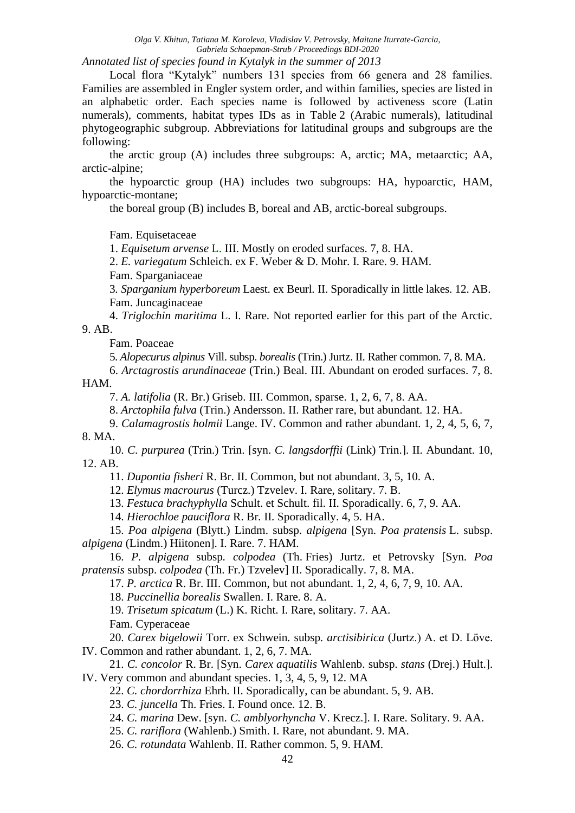*Annotated list of species found in Kytalyk in the summer of 2013* 

Local flora "Kytalyk" numbers 131 species from 66 genera and 28 families. Families are assembled in Engler system order, and within families, species are listed in an alphabetic order. Each species name is followed by activeness score (Latin numerals), comments, habitat types IDs as in Table 2 (Arabic numerals), latitudinal phytogeographic subgroup. Abbreviations for latitudinal groups and subgroups are the following:

the arctic group (A) includes three subgroups: A, arctic; MA, metaarctic; AA, arctic-alpine;

the hypoarctic group (HA) includes two subgroups: HA, hypoarctic, HAM, hypoarctic-montane;

the boreal group (B) includes B, boreal and AB, arctic-boreal subgroups.

Fam. Equisetaceae

1. *Equisetum arvense* L. III. Mostly on eroded surfaces. 7, 8. HA.

2. *E. variegatum* Schleich. ex F. Weber & D. Mohr. I. Rare. 9. HAM.

Fam. Sparganiaceae

3*. Sparganium hyperboreum* Laest. ex Beurl*.* II. Sporadically in little lakes. 12. AB. Fam. [Juncaginaceae](http://www.theplantlist.org/1.1/browse/A/Juncaginaceae/)

4. *Triglochin maritima* L. I. Rare. Not reported earlier for this part of the Arctic. 9. AB.

Fam. Poaceae

5. *Alopecurus alpinus* Vill. subsp. *borealis* (Trin.) Jurtz. II. Rather common. 7, 8. MA.

6. *Arctagrostis arundinaceae* (Trin.) Beal. III. Abundant on eroded surfaces. 7, 8. HAM.

7. *A. latifolia* (R. Br.) Griseb. III. Common, sparse. 1, 2, 6, 7, 8. AA.

8. *Arctophila fulva* (Trin.) Andersson. II. Rather rare, but abundant. 12. HA.

9. *Calamagrostis holmii* Lange. IV. Common and rather abundant. 1, 2, 4, 5, 6, 7, 8. MA.

10. *C. purpurea* (Trin.) Trin. [syn. *C. langsdorffii* (Link) Trin.]. II. Abundant. 10, 12. AB.

11. *Dupontia fisheri* R. Br. II. Common, but not abundant. 3, 5, 10. A.

12. *Elymus macrourus* (Turcz.) Tzvelev. I. Rare, solitary. 7. B.

13. *Festuca brachyphylla* Schult. et Schult. fil. II. Sporadically. 6, 7, 9. AA.

14. *Hierochloe pauciflora* R. Br*.* II. Sporadically. 4, 5. HA.

15. *Poa alpigena* (Blytt.) Lindm. subsp. *alpigena* [Syn. *Poa pratensis* L. subsp. *alpigena* (Lindm.) Hiitonen]. I. Rare. 7. HAM.

16. *P. alpigena* subsp*. colpodea* (Th. Fries) Jurtz. et Petrovsky [Syn. *Poa pratensis* subsp. *colpodea* (Th. Fr.) Tzvelev] II. Sporadically. 7, 8. MA.

17. *P. arctica* R. Br. III. Common, but not abundant. 1, 2, 4, 6, 7, 9, 10. AA.

18. *Puccinellia borealis* Swallen. I. Rare. 8. A.

19. *Trisetum spicatum* (L.) K. Richt. I. Rare, solitary. 7. AA.

Fam. Cyperaceae

20. *Carex bigelowii* Torr. ex Schwein*.* subsp*. arctisibirica* (Jurtz.) A. et D. Löve. IV. Common and rather abundant. 1, 2, 6, 7. MA.

21. *C. concolor* R. Br. [Syn. *Carex aquatilis* Wahlenb. subsp. *stans* (Drej.) Hult.]. IV. Very common and abundant species. 1, 3, 4, 5, 9, 12. MA

22. *C. chordorrhiza* Ehrh*.* II. Sporadically, can be abundant. 5, 9. AB.

23. *C. juncella* Th. Fries. I. Found once. 12. B.

24. *C. marina* Dew. [syn*. C. amblyorhyncha* V. Krecz.]. I. Rare. Solitary. 9. AA.

25. *C. rariflora* (Wahlenb.) Smith. I. Rare, not abundant. 9. MA.

26. *C. rotundata* Wahlenb. II. Rather common. 5, 9. HAM.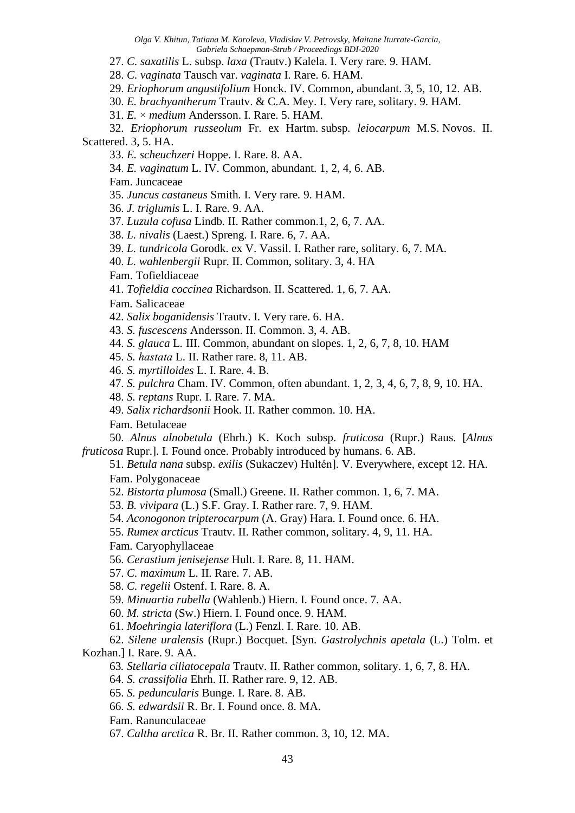27. *C. saxatilis* L. subsp. *laxa* (Trautv.) Kalela. I. Very rare. 9. HAM.

28. *C. vaginata* Tausch var. *vaginata* I. Rare. 6. HAM.

29. *Eriophorum angustifolium* Honck. IV. Common, abundant. 3, 5, 10, 12. AB.

30. *E. brachyantherum* Trautv. & C.A. Mey. I. Very rare, solitary. 9. HAM.

31. *E.* × *medium* Andersson. I. Rare. 5. HAM.

32. *Eriophorum russeolum* Fr. ex Hartm. subsp*. leiocarpum* M.S. Novos. II. Scattered. 3, 5. HA.

33. *E. scheuchzeri* Hoppe. I. Rare. 8. AA.

34. *E. vaginatum* L. IV. Common, abundant. 1, 2, 4, 6. AB.

Fam. Juncaceae

35. *Juncus castaneus* Smith*.* I. Very rare*.* 9. HAM.

36. *J. triglumis* L. I. Rare. 9. AA.

37. *Luzula cofusa* Lindb*.* II. Rather common.1, 2, 6, 7. AA.

38. *L. nivalis* (Laest.) Spreng*.* I. Rare. 6, 7. AA.

39. *L. tundricola* Gorodk. ex V. Vassil. I. Rather rare, solitary. 6, 7. MA.

40. *L. wahlenbergii* Rupr. II. Common, solitary. 3, 4. HA

Fam. Tofieldiaceae

41. *Tofieldia coccinea* Richardson. II. Scattered. 1, 6, 7. AA.

Fam*.* Salicaceae

42. *Salix boganidensis* Trautv. I. Very rare. 6. HA.

43. *S. fuscescens* Andersson. II. Common. 3, 4. AB.

44. *S. glauca* L*.* III. Common, abundant on slopes. 1, 2, 6, 7, 8, 10. HAM

45. *S. hastatа* L. II. Rather rare. 8, 11. AB.

46. *S. myrtilloides* L. I. Rare. 4. B.

47. *S. pulchra* Cham. IV. Common, often abundant. 1, 2, 3, 4, 6, 7, 8, 9, 10. HA.

48. *S. reptans* Rupr*.* I. Rare. 7. MA.

49. *Salix richardsonii* Hook. II. Rather common. 10. HA.

Fam*.* Betulaceae

50. *Alnus alnobetula* (Ehrh.) K. Koch subsp. *fruticosa* (Rupr.) Raus. [*Alnus fruticosa* Rupr.]. I. Found once. Probably introduced by humans. 6. AB.

51. *Betula nana* subsp. *exilis* (Sukaczev) Hultén]. V. Everywhere, except 12. HA. Fam. Polygonaceae

52. *Bistorta plumosa* (Small.) Greene. II. Rather common. 1, 6, 7. MA.

53. *B. vivipara* (L.) S.F. Gray. I. Rather rare. 7, 9. HAM.

54. *Aconogonon tripterocarpum* (A. Gray) Hara. I. Found once. 6. HA.

55. *Rumex arcticus* Trautv. II. Rather common, solitary. 4, 9, 11. HA.

Fam*.* Caryophyllaceae

56. *Cerastium jenisejense* Hult. I. Rare. 8, 11. HAM.

57. *C. maximum* L. II. Rare. 7. AB.

58. *C. regelii* Ostenf. I. Rare. 8. A.

59. *Minuartia rubella* (Wahlenb.) Hiern. I. Found once. 7. AA.

60. *M. stricta* (Sw.) Hiern. I. Found once. 9. HAM.

61. *Moehringia lateriflora* (L.) Fenzl. I. Rare. 10. AB.

62. *Silene uralensis* (Rupr.) Bocquet. [Syn. *Gastrolychnis apetala* (L.) Tolm. et Kozhan.] I. Rare. 9. AA.

63*. Stellaria ciliatocepala* Trautv. II. Rather common, solitary. 1, 6, 7, 8. HA.

64. *S. crassifolia* Ehrh. II. Rather rare. 9, 12. AB.

65. *S. peduncularis* Bunge. I. Rare. 8. AB.

66. *S. edwardsii* R. Br. I. Found once. 8. MA.

Fam. Ranunculaceae

67. *Caltha arctica* R. Br*.* II. Rather common. 3, 10, 12. MA.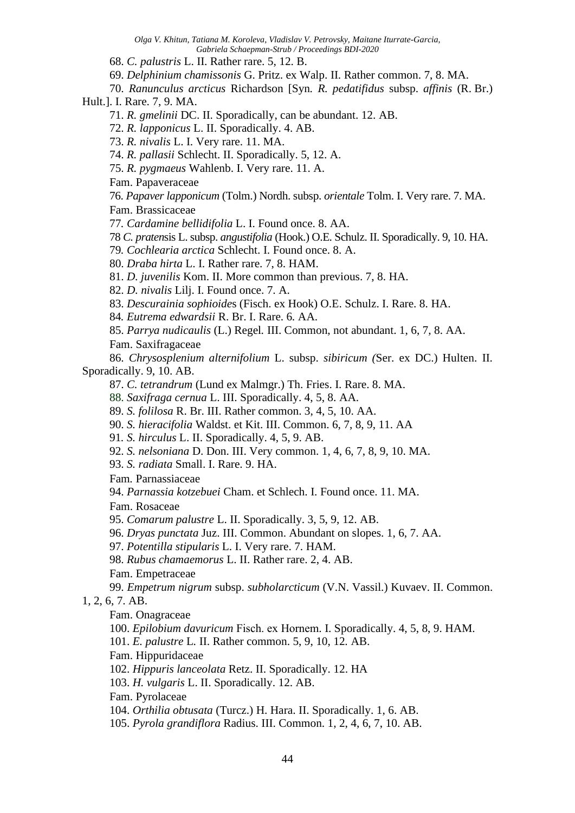68. *C. palustris* L. II. Rather rare. 5, 12. B.

69. *Delphinium chamissonis* G. Pritz. ex Walp. II. Rather common. 7, 8. MA.

70. *Ranunculus arcticus* Richardson [Syn*. R. pedatifidus* subsp. *affinis* (R. Br.) Hult.]. I. Rare. 7, 9. MA.

71. *R. gmelinii* DC. II. Sporadically, can be abundant. 12. AB.

72. *R. lapponicus* L. II. Sporadically. 4. AB.

73. *R. nivalis* L. I. Very rare. 11. MA.

74. *R. pallasii* Schlecht. II. Sporadically. 5, 12. A.

75. *R. pygmaeus* Wahlenb. I. Very rare. 11. A.

Fam. Papaveraceae

76. *Papaver lapponicum* (Tolm.) Nordh. subsp. *orientale* Tolm. I. Very rare. 7. MA. Fam. Brassicaceae

77*. Cardamine bellidifolia* L. I. Found once. 8. AA.

78 *C. praten*sis L. subsp. *angustifolia* (Hook.) O.E. Schulz. II. Sporadically. 9, 10. HA.

79*. Cochlearia arctica* Schlecht. I. Found once. 8. A.

80. *Draba hirta* L. I. Rather rare. 7, 8. HAM.

81. *D. juvenilis* Kom. II. More common than previous. 7, 8. HA.

82. *D. nivalis* Lilj. I. Found once. 7. A.

83. *Descurainia sophioide*s (Fisch. ex Hook) O.E. Schulz. I. Rare. 8. HA.

84*. Eutrema edwardsii* R. Br. I. Rare. 6*.* AA.

85. *Parrya nudicaulis* (L.) Regel*.* III. Common, not abundant. 1, 6, 7, 8. AA.

Fam. Saxifragaceae

86. *Chrysosplenium alternifolium* L. subsp. *sibiricum (*Ser. ex DC.) Hulten. II. Sporadically. 9, 10. AB.

87. *C. tetrandrum* (Lund ex Malmgr.) Th. Fries. I. Rare. 8. MA.

88. *Saxifraga cernua* L. III. Sporadically. 4, 5, 8. AA.

89. *S. folilosa* R. Br. III. Rather common. 3, 4, 5, 10. AA.

90. *S. hieracifolia* Waldst. et Kit. III. Common. 6, 7, 8, 9, 11. AA

91*. S. hirculus* L. II. Sporadically. 4, 5, 9. AB.

92. *S. nelsoniana* D. Don. III. Very common. 1, 4, 6, 7, 8, 9, 10. MA.

93. *S. radiata* Small. I. Rare. 9. HA.

Fam*.* Parnassiaceae

94. *Parnassia kotzebuei* Cham. et Schlech. I. Found once. 11. MA.

Fam. Rosaceae

95. *Comarum palustre* L. II. Sporadically. 3, 5, 9, 12. AB.

96. *Dryas punctata* Juz. III. Common. Abundant on slopes. 1, 6, 7. AA.

97. *Potentilla stipularis* L. I. Very rare. 7. HAM.

98. *Rubus chamaemorus* L. II. Rather rare. 2, 4. AB.

Fam. Empetraceae

99. *Empetrum nigrum* subsp. *subholarcticum* (V.N. Vassil.) Kuvaev. II. Common.

### 1, 2, 6, 7. AB.

Fam. Onagraceae

100. *Epilobium davuricum* Fisch. еx Hornem. I. Sporadically. 4, 5, 8, 9. HAM.

101. *E. palustre* L*.* II. Rather common. 5, 9, 10, 12*.* AB.

Fam. Hippuridaceae

102. *Hippuris lanceolata* Retz. II. Sporadically. 12. HA

103. *H. vulgaris* L. II. Sporadically. 12. AB.

Fam. Pyrolaceae

104. *Orthilia obtusata* (Turcz.) H. Hara. II. Sporadically. 1, 6. AB.

105. *Pyrola grandiflora* Radius. III. Common. 1, 2, 4, 6, 7, 10. AB.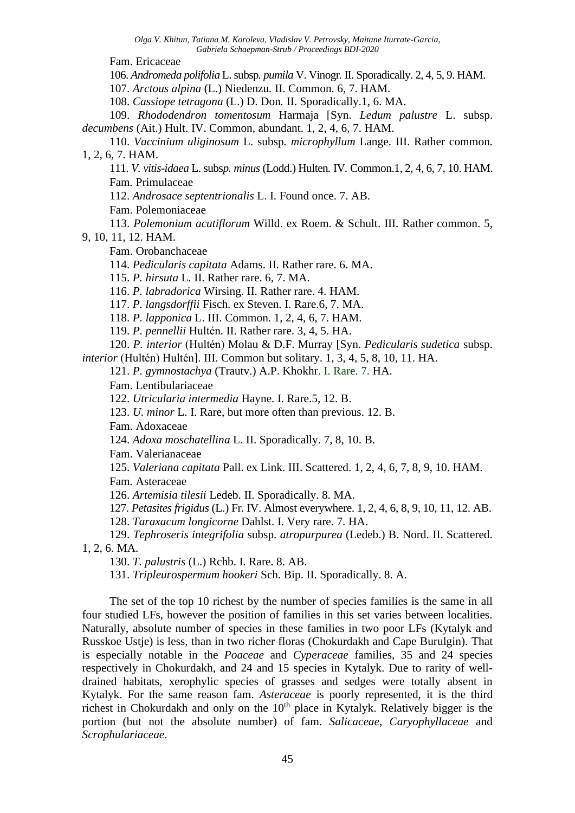Fam. Ericaceae

106. *Andromeda polifolia* L. subsp*. pumila* V. Vinogr*.* II. Sporadically. 2, 4, 5, 9. HAM.

107. *Arctous alpina* (L.) Niedenzu*.* II. Common. 6, 7. HAM.

108. *Cassiope tetragona* (L.) D. Don*.* II. Sporadically.1, 6. MA.

109. *Rhododendron tomentosum* Harmaja [Syn. *Ledum palustre* L. subsp. *decumbens* (Ait.) Hult. IV. Common, abundant. 1, 2, 4, 6, 7. HAM.

110. *Vaccinium uliginosum* L. subsp*. microphyllum* Lange. III. Rather common*.*  1, 2, 6, 7. HAM.

111. *V. vitis-idaea* L. subs*p. minus* (Lodd.) Hulten*.* IV*.* Common.1, 2, 4, 6, 7, 10. HAM. Fam*.* Primulaceae

112. *Androsace septentrionalis* L. I. Found once. 7. AB.

Fam. Polemoniaceae

113. *Polemonium acutiflorum* Willd. ex Roem. & Schult. III. Rather common. 5, 9, 10, 11, 12. HAM.

Fam. Orobanchaceae

114. *Pedicularis capitata* Adams. II. Rather rare. 6. MA.

115. *P. hirsuta* L*.* II. Rather rare. 6, 7. MA.

116. *P. labradorica* Wirsing. II. Rather rare. 4. HAM.

117. *P. langsdorffii* Fisch. ex Steven. I. Rare.6, 7. MA.

118. *P. lapponica* L. III. Common. 1, 2, 4, 6, 7. HAM.

119. *P. pennellii* Hultén. II. Rather rare. 3, 4, 5. HA.

120. *P. interior* (Hultén) Molau & D.F. Murray [Syn. *Pedicularis sudetica* subsp. *interior* (Hultén) Hultén]. III. Common but solitary. 1, 3, 4, 5, 8, 10, 11. HA.

121. *P. gymnostachya* (Trautv.) A.P. Khokhr. I. Rare. 7. HA.

Fam. Lentibulariaceae

122. *Utricularia intermedia* Hayne. I. Rare.5, 12. B.

123. *U. minor* L. I. Rare, but more often than previous. 12. B.

Fam. Adoxaceae

124. *Adoxa moschatellina* L. II. Sporadically. 7, 8, 10. B.

Fam. Valerianaceae

125. *Valeriana capitata* Pall. ex Link. III. Scattered. 1, 2, 4, 6, 7, 8, 9, 10. HAM.

Fam*.* Asteraceae

126. *Artemisia tilesii* Ledeb. II. Sporadically. 8. MA.

127. *Petasites frigidus* (L.) Fr. IV. Almost everywhere. 1, 2, 4, 6, 8, 9, 10, 11, 12. AB.

128. *Taraxacum longicorne* Dahlst. I. Very rare. 7. HA.

129. *Tephroseris integrifolia* subsp. *atropurpurea* (Ledeb.) B. Nord. II. Scattered. 1, 2, 6. MA.

130. *T. palustris* (L.) Rchb. I. Rare. 8. AB.

131. *Tripleurospermum hookeri* Sch. Bip. II. Sporadically. 8. A.

The set of the top 10 richest by the number of species families is the same in all four studied LFs, however the position of families in this set varies between localities. Naturally, absolute number of species in these families in two poor LFs (Kytalyk and Russkoe Ustie) is less, than in two richer floras (Chokurdakh and Cape Burulgin). That is especially notable in the *Poaceae* and *Cyperaceae* families, 35 and 24 species respectively in Chokurdakh, and 24 and 15 species in Kytalyk. Due to rarity of welldrained habitats, xerophylic species of grasses and sedges were totally absent in Kytalyk. For the same reason fam. *Asteraceae* is poorly represented, it is the third richest in Chokurdakh and only on the  $10<sup>th</sup>$  place in Kytalyk. Relatively bigger is the portion (but not the absolute number) of fam. *Salicaceae, Caryophyllaceae* and *Scrophulariaceae*.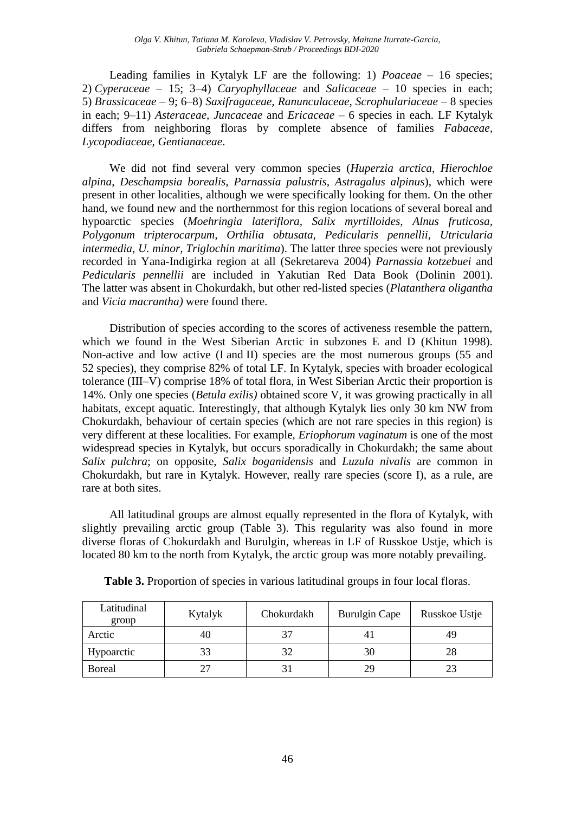Leading families in Kytalyk LF are the following: 1) *Poaceae* – 16 species; 2) *Cyperaceae* – 15; 3–4) *Caryophyllaceae* and *Salicaceae* – 10 species in each; 5) *Brassicaceae* – 9; 6–8) *Saxifragaceae, Ranunculaceae, Scrophulariaceae* – 8 species in each; 9–11) *Asteraceae, Juncaceae* and *Ericaceae* – 6 species in each. LF Kytalyk differs from neighboring floras by complete absence of families *Fabaceae, Lycopodiaceae, Gentianaceae*.

We did not find several very common species (*Huperzia arctica, Hierochloe alpina, Deschampsia borealis, Parnassia palustris, Astragalus alpinus*), which were present in other localities, although we were specifically looking for them. On the other hand, we found new and the northernmost for this region locations of several boreal and hypoarctic species (*Moehringia lateriflora, Salix myrtilloides, Alnus fruticosa, Polygonum tripterocarpum, Orthilia obtusata, Pedicularis pennellii, Utricularia intermedia, U. minor, Triglochin maritima*). The latter three species were not previously recorded in Yana-Indigirka region at all (Sekretareva 2004) *Parnassia kotzebuei* and *Pedicularis pennellii* are included in Yakutian Red Data Book (Dolinin 2001). The latter was absent in Chokurdakh, but other red-listed species (*Platanthera oligantha*  and *Vicia macrantha)* were found there.

Distribution of species according to the scores of activeness resemble the pattern, which we found in the West Siberian Arctic in subzones E and D (Khitun 1998). Non-active and low active (I and II) species are the most numerous groups (55 and 52 species), they comprise 82% of total LF. In Kytalyk, species with broader ecological tolerance (III–V) comprise 18% of total flora, in West Siberian Arctic their proportion is 14%. Only one species (*Betula exilis)* obtained score V, it was growing practically in all habitats, except aquatic. Interestingly, that although Kytalyk lies only 30 km NW from Chokurdakh, behaviour of certain species (which are not rare species in this region) is very different at these localities. For example, *Eriophorum vaginatum* is one of the most widespread species in Kytalyk, but occurs sporadically in Chokurdakh; the same about *Salix pulchra*; on opposite, *Salix boganidensis* and *Luzula nivalis* are common in Chokurdakh, but rare in Kytalyk. However, really rare species (score I), as a rule, are rare at both sites.

All latitudinal groups are almost equally represented in the flora of Kytalyk, with slightly prevailing arctic group (Table 3). This regularity was also found in more diverse floras of Chokurdakh and Burulgin, whereas in LF of Russkoe Ustje, which is located 80 km to the north from Kytalyk, the arctic group was more notably prevailing.

| Latitudinal<br>group | Kytalyk | Chokurdakh | Burulgin Cape | Russkoe Ustje |
|----------------------|---------|------------|---------------|---------------|
| Arctic               | 40      |            | 4 I           |               |
| Hypoarctic           | 33      |            | 30            | 28            |
| <b>Boreal</b>        |         |            | 29            |               |

**Table 3.** Proportion of species in various latitudinal groups in four local floras.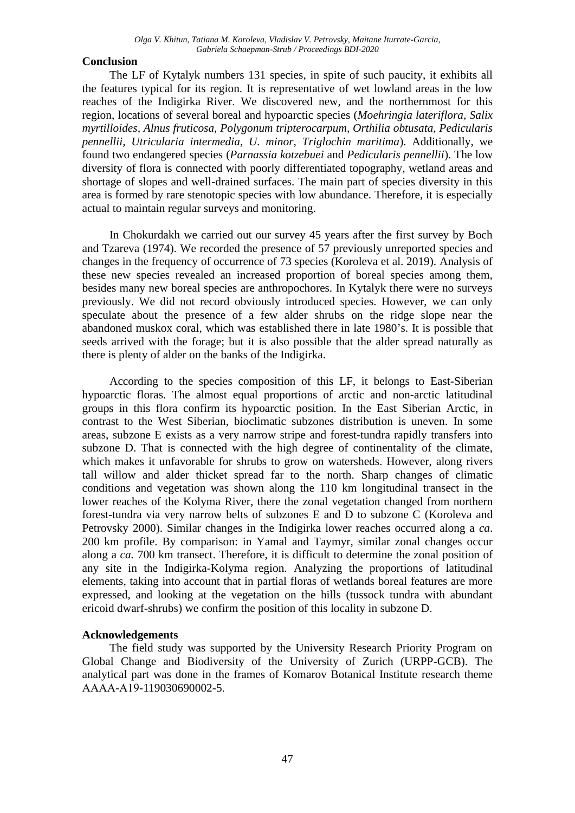## **Conclusion**

The LF of Kytalyk numbers 131 species, in spite of such paucity, it exhibits all the features typical for its region. It is representative of wet lowland areas in the low reaches of the Indigirka River. We discovered new, and the northernmost for this region, locations of several boreal and hypoarctic species (*Moehringia lateriflora, Salix myrtilloides, Alnus fruticosa, Polygonum tripterocarpum, Orthilia obtusata, Pedicularis pennellii, Utricularia intermedia, U. minor, Triglochin maritima*). Additionally, we found two endangered species (*Parnassia kotzebuei* and *Pedicularis pennellii*). The low diversity of flora is connected with poorly differentiated topography, wetland areas and shortage of slopes and well-drained surfaces. The main part of species diversity in this area is formed by rare stenotopic species with low abundance. Therefore, it is especially actual to maintain regular surveys and monitoring.

In Chokurdakh we carried out our survey 45 years after the first survey by Boch and Tzareva (1974). We recorded the presence of 57 previously unreported species and changes in the frequency of occurrence of 73 species (Koroleva et al. 2019). Analysis of these new species revealed an increased proportion of boreal species among them, besides many new boreal species are anthropochores. In Kytalyk there were no surveys previously. We did not record obviously introduced species. However, we can only speculate about the presence of a few alder shrubs on the ridge slope near the abandoned muskox coral, which was established there in late 1980's. It is possible that seeds arrived with the forage; but it is also possible that the alder spread naturally as there is plenty of alder on the banks of the Indigirka.

According to the species composition of this LF, it belongs to East-Siberian hypoarctic floras. The almost equal proportions of arctic and non-arctic latitudinal groups in this flora confirm its hypoarctic position. In the East Siberian Arctic, in contrast to the West Siberian, bioclimatic subzones distribution is uneven. In some areas, subzone E exists as a very narrow stripe and forest-tundra rapidly transfers into subzone D. That is connected with the high degree of continentality of the climate, which makes it unfavorable for shrubs to grow on watersheds. However, along rivers tall willow and alder thicket spread far to the north. Sharp changes of climatic conditions and vegetation was shown along the 110 km longitudinal transect in the lower reaches of the Kolyma River, there the zonal vegetation changed from northern forest-tundra via very narrow belts of subzones E and D to subzone C (Koroleva and Petrovsky 2000). Similar changes in the Indigirka lower reaches occurred along a *ca*. 200 km profile. By comparison: in Yamal and Taymyr, similar zonal changes occur along a *ca.* 700 km transect. Therefore, it is difficult to determine the zonal position of any site in the Indigirka-Kolyma region. Analyzing the proportions of latitudinal elements, taking into account that in partial floras of wetlands boreal features are more expressed, and looking at the vegetation on the hills (tussock tundra with abundant ericoid dwarf-shrubs) we confirm the position of this locality in subzone D.

### **Acknowledgements**

The field study was supported by the University Research Priority Program on Global Change and Biodiversity of the University of Zurich (URPP-GCB). The analytical part was done in the frames of Komarov Botanical Institute research theme АААА-А19-119030690002-5.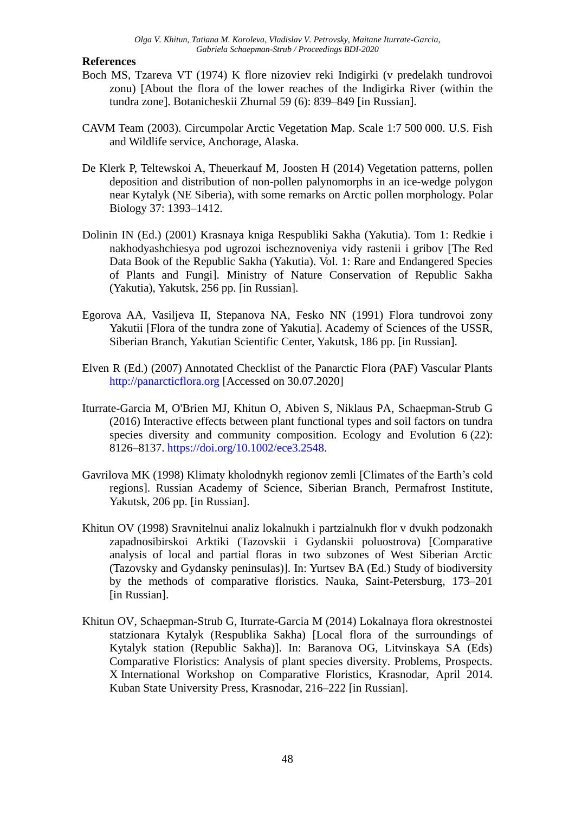### **References**

- Boch MS, Tzareva VT (1974) K flore nizoviev reki Indigirki (v predelakh tundrovoi zonu) [About the flora of the lower reaches of the Indigirka River (within the tundra zone]. Botanicheskii Zhurnal 59 (6): 839–849 [in Russian].
- CAVM Team (2003). Circumpolar Arctic Vegetation Map. Scale 1:7 500 000. U.S. Fish and Wildlife service, Anchorage, Alaska.
- De Klerk P, Teltewskoi A, Theuerkauf M, Joosten H (2014) Vegetation patterns, pollen deposition and distribution of non-pollen palynomorphs in an ice-wedge polygon near Kytalyk (NE Siberia), with some remarks on Arctic pollen morphology. Polar Biology 37: 1393–1412.
- Dolinin IN (Ed.) (2001) Krasnaya kniga Respubliki Sakha (Yakutia). Tom 1: Redkie i nakhodyashchiesya pod ugrozoi ischeznoveniya vidy rastenii i gribov [The Red Data Book of the Republic Sakha (Yakutia). Vol. 1: Rare and Endangered Species of Plants and Fungi]. Ministry of Nature Conservation of Republic Sakha (Yakutia), Yakutsk, 256 pp. [in Russian].
- Egorova AA, Vasiljeva II, Stepanova NA, Fesko NN (1991) Flora tundrovoi zony Yakutii [Flora of the tundra zone of Yakutia]. Academy of Sciences of the USSR, Siberian Branch, Yakutian Scientific Center, Yakutsk, 186 pp. [in Russian].
- Elven R (Ed.) (2007) Annotated Checklist of the Panarctic Flora (PAF) Vascular Plants [http://panarcticflora.org](http://panarcticflora.org/) [Accessed on 30.07.2020]
- Iturrate-Garcia M, O'Brien MJ, Khitun O, Abiven S, Niklaus PA, Schaepman-Strub G (2016) Interactive effects between plant functional types and soil factors on tundra species diversity and community composition. Ecology and Evolution 6 (22): 8126–8137. [https://doi.org/10.1002/ece3.2548.](https://doi.org/10.1002/ece3.2548)
- Gavrilova MK (1998) Klimaty kholodnykh regionov zemli [Climates of the Earth's cold regions]. Russian Academy of Science, Siberian Branch, Permafrost Institute, Yakutsk, 206 pp. [in Russian].
- Khitun OV (1998) Sravnitelnui analiz lokalnukh i partzialnukh flor v dvukh podzonakh zapadnosibirskoi Arktiki (Tazovskii i Gydanskii poluostrova) [Comparative analysis of local and partial floras in two subzones of West Siberian Arctic (Tazovsky and Gydansky peninsulas)]. In: Yurtsev BA (Ed.) Study of biodiversity by the methods of comparative floristics. Nauka, Saint-Petersburg, 173–201 [in Russian].
- Khitun OV, Schaepman-Strub G, Iturrate-Garcia M (2014) Lokalnaya flora okrestnostei statzionara Kytalyk (Respublika Sakha) [Local flora of the surroundings of Kytalyk station (Republic Sakha)]. In: Baranova OG, Litvinskaya SA (Eds) Comparative Floristics: Analysis of plant species diversity. Problems, Prospects. X International Workshop on Comparative Floristics, Krasnodar, April 2014. Kuban State University Press, Krasnodar, 216–222 [in Russian].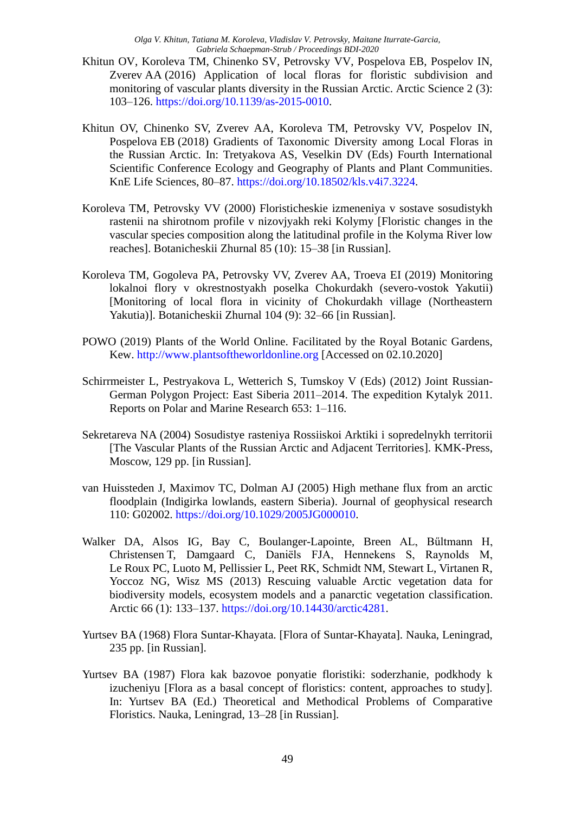- Khitun OV, Koroleva TM, Chinenko SV, Petrovsky VV, Pospelova EB, Pospelov IN, Zverev AA (2016) Application of local floras for floristic subdivision and monitoring of vascular plants diversity in the Russian Arctic. Arctic Science 2 (3): 103–126. [https://doi.org/10.1139/as-2015-0010.](https://doi.org/10.1139/as-2015-0010)
- Khitun OV, Chinenko SV, Zverev AA, Koroleva TM, Petrovsky VV, Pospelov IN, Pospelova EB (2018) Gradients of Taxonomic Diversity among Local Floras in the Russian Arctic. In: Tretyakova AS, Veselkin DV (Eds) Fourth International Scientific Conference Ecology and Geography of Plants and Plant Communities. KnE Life Sciences, 80–87. [https://doi.org/10.18502/kls.v4i7.3224.](https://doi.org/10.18502/kls.v4i7.3224)
- Koroleva TM, Petrovsky VV (2000) Floristicheskie izmeneniya v sostave sosudistykh rastenii na shirotnom profile v nizovjyakh reki Kolymy [Floristic changes in the vascular species composition along the latitudinal profile in the Kolyma River low reaches]. Botanicheskii Zhurnal 85 (10): 15–38 [in Russian].
- Koroleva TM, Gogoleva PA, Petrovsky VV, Zverev AA, Troeva EI (2019) Monitoring lokalnoi flory v okrestnostyakh poselka Chokurdakh (severo-vostok Yakutii) [Monitoring of local flora in vicinity of Chokurdakh village (Northeastern Yakutia)]. Botanicheskii Zhurnal 104 (9): 32–66 [in Russian].
- POWO (2019) Plants of the World Online. Facilitated by the Royal Botanic Gardens, Kew. [http://www.plantsoftheworldonline.org](http://www.plantsoftheworldonline.org/) [Accessed on 02.10.2020]
- Schirrmeister L, Pestryakova L, Wetterich S, Tumskoy V (Eds) (2012) Joint Russian-German Polygon Project: East Siberia 2011–2014. The expedition Kytalyk 2011. Reports on Polar and Marine Research 653: 1–116.
- Sekretareva NA (2004) Sosudistye rasteniya Rossiiskoi Arktiki i sopredelnykh territorii [The Vascular Plants of the Russian Arctic and Adjacent Territories]. KMK-Press, Moscow, 129 pp. [in Russian].
- van Huissteden J, Maximov TC, Dolman AJ (2005) High methane flux from an arctic floodplain (Indigirka lowlands, eastern Siberia). Journal of geophysical research 110: G02002. [https://doi.org/10.1029/2005JG000010.](https://doi.org/10.1029/2005JG000010)
- Walker DA, Alsos IG, Bay C, Boulanger-Lapointe, Breen AL, Bűltmann H, Christensen T, Damgaard C, Daniëls FJA, Hennekens S, Raynolds M, Le Roux PC, Luoto M, Pellissier L, Peet RK, Schmidt NM, Stewart L, Virtanen R, Yoccoz NG, Wisz MS (2013) Rescuing valuable Arctic vegetation data for biodiversity models, ecosystem models and a panarctic vegetation classification. Arctic 66 (1): 133–137. [https://doi.org/10.14430/arctic4281.](https://doi.org/10.14430/arctic4281)
- Yurtsev BA (1968) Flora Suntar-Khayata. [Flora of Suntar-Khayata]. Nauka, Leningrad, 235 pp. [in Russian].
- Yurtsev BA (1987) Flora kak bazovoe ponyatie floristiki: soderzhanie, podkhody k izucheniyu [Flora as a basal concept of floristics: content, approaches to study]. In: Yurtsev BA (Ed.) Theoretical and Methodical Problems of Comparative Floristics. Nauka, Leningrad, 13–28 [in Russian].